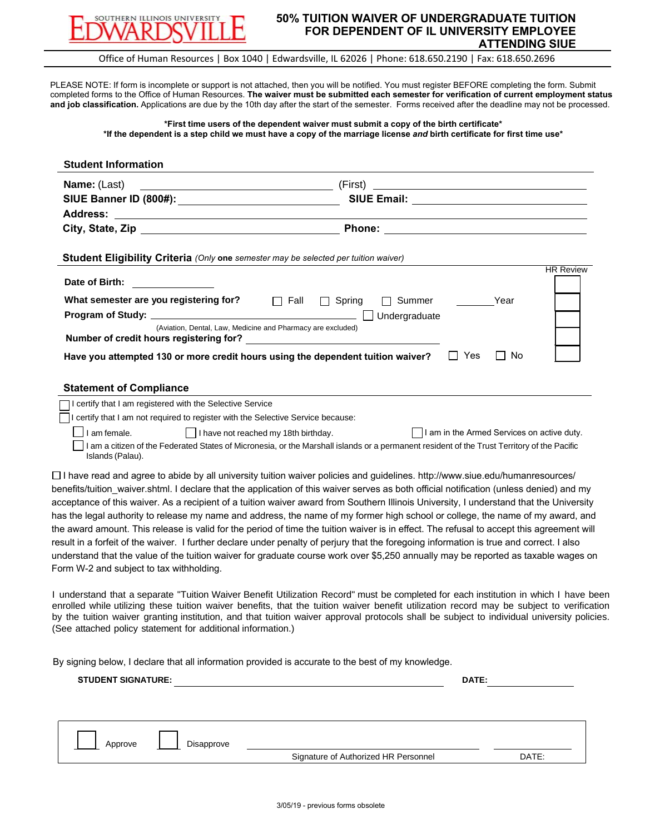

**Student Information**

## **50% TUITION WAIVER OF UNDERGRADUATE TUITION FOR DEPENDENT OF IL UNIVERSITY EMPLOYEE ATTENDING SIUE**

Office of Human Resources | Box 1040 | Edwardsville, IL 62026 | Phone: 618.650.2190 | Fax: 618.650.2696

PLEASE NOTE: If form is incomplete or support is not attached, then you will be notified. You must register BEFORE completing the form. Submit completed forms to the Office of Human Resources. **The waiver must be submitted each semester for verification of current employment status and job classification.** Applications are due by the 10th day after the start of the semester. Forms received after the deadline may not be processed.

## **\*First time users of the dependent waiver must submit a copy of the birth certificate\* \*If the dependent is a step child we must have a copy of the marriage license** *and* **birth certificate for first time use\***

| SIUE Banner ID (800#): _________________________________<br>SIUE Email: <u>_______________________________</u><br><b>Address:</b><br><u> 1980 - Johann Stoff, deutscher Stoffen und der Stoffen und der Stoffen und der Stoffen und der Stoffen und der</u><br><b>Phone:</b><br>City, State, Zip and State and State and State and State and State and State and State and State and State and<br>Student Eligibility Criteria (Only one semester may be selected per tuition waiver)<br><b>HR Review</b><br>Date of Birth:<br>What semester are you registering for?<br>$\Box$ Fall<br>Year<br>$\Box$ Spring<br>Summer<br>Undergraduate<br>(Aviation, Dental, Law, Medicine and Pharmacy are excluded)<br>Number of credit hours registering for?<br>Have you attempted 130 or more credit hours using the dependent tuition waiver?<br>$\Box$ Yes<br>No.<br><b>Statement of Compliance</b><br>I certify that I am registered with the Selective Service<br>I certify that I am not required to register with the Selective Service because:<br>I am female.<br>      have not reached my 18th birthday.<br>I am a citizen of the Federated States of Micronesia, or the Marshall islands or a permanent resident of the Trust Territory of the Pacific<br>Islands (Palau).<br>$\Box$ I have read and agree to abide by all university tuition waiver policies and guidelines. http://www.siue.edu/humanresources/<br>benefits/tuition_waiver.shtml. I declare that the application of this waiver serves as both official notification (unless denied) and my<br>acceptance of this waiver. As a recipient of a tuition waiver award from Southern Illinois University, I understand that the University<br>has the legal authority to release my name and address, the name of my former high school or college, the name of my award, and<br>the award amount. This release is valid for the period of time the tuition waiver is in effect. The refusal to accept this agreement will<br>result in a forfeit of the waiver. I further declare under penalty of perjury that the foregoing information is true and correct. I also<br>understand that the value of the tuition waiver for graduate course work over \$5,250 annually may be reported as taxable wages on<br>Form W-2 and subject to tax withholding.<br>I understand that a separate "Tuition Waiver Benefit Utilization Record" must be completed for each institution in which I have been<br>enrolled while utilizing these tuition waiver benefits, that the tuition waiver benefit utilization record may be subject to verification<br>by the tuition waiver granting institution, and that tuition waiver approval protocols shall be subject to individual university policies.<br>(See attached policy statement for additional information.)<br>By signing below, I declare that all information provided is accurate to the best of my knowledge.<br><b>STUDENT SIGNATURE:</b><br>DATE:<br>Approve<br>Disapprove<br>Signature of Authorized HR Personnel<br>DATE: | <b>Name:</b> (Last) | (First) | <u> 1989 - Andrea Stadt, fransk politik (d. 1989)</u> |
|--------------------------------------------------------------------------------------------------------------------------------------------------------------------------------------------------------------------------------------------------------------------------------------------------------------------------------------------------------------------------------------------------------------------------------------------------------------------------------------------------------------------------------------------------------------------------------------------------------------------------------------------------------------------------------------------------------------------------------------------------------------------------------------------------------------------------------------------------------------------------------------------------------------------------------------------------------------------------------------------------------------------------------------------------------------------------------------------------------------------------------------------------------------------------------------------------------------------------------------------------------------------------------------------------------------------------------------------------------------------------------------------------------------------------------------------------------------------------------------------------------------------------------------------------------------------------------------------------------------------------------------------------------------------------------------------------------------------------------------------------------------------------------------------------------------------------------------------------------------------------------------------------------------------------------------------------------------------------------------------------------------------------------------------------------------------------------------------------------------------------------------------------------------------------------------------------------------------------------------------------------------------------------------------------------------------------------------------------------------------------------------------------------------------------------------------------------------------------------------------------------------------------------------------------------------------------------------------------------------------------------------------------------------------------------------------------------------------------------------------------------------------------------------------------------------------------------------------------------------------------------------------------------------------------------------------------------------------------------------------------------------------------------------------------|---------------------|---------|-------------------------------------------------------|
|                                                                                                                                                                                                                                                                                                                                                                                                                                                                                                                                                                                                                                                                                                                                                                                                                                                                                                                                                                                                                                                                                                                                                                                                                                                                                                                                                                                                                                                                                                                                                                                                                                                                                                                                                                                                                                                                                                                                                                                                                                                                                                                                                                                                                                                                                                                                                                                                                                                                                                                                                                                                                                                                                                                                                                                                                                                                                                                                                                                                                                                  |                     |         |                                                       |
|                                                                                                                                                                                                                                                                                                                                                                                                                                                                                                                                                                                                                                                                                                                                                                                                                                                                                                                                                                                                                                                                                                                                                                                                                                                                                                                                                                                                                                                                                                                                                                                                                                                                                                                                                                                                                                                                                                                                                                                                                                                                                                                                                                                                                                                                                                                                                                                                                                                                                                                                                                                                                                                                                                                                                                                                                                                                                                                                                                                                                                                  |                     |         |                                                       |
|                                                                                                                                                                                                                                                                                                                                                                                                                                                                                                                                                                                                                                                                                                                                                                                                                                                                                                                                                                                                                                                                                                                                                                                                                                                                                                                                                                                                                                                                                                                                                                                                                                                                                                                                                                                                                                                                                                                                                                                                                                                                                                                                                                                                                                                                                                                                                                                                                                                                                                                                                                                                                                                                                                                                                                                                                                                                                                                                                                                                                                                  |                     |         |                                                       |
|                                                                                                                                                                                                                                                                                                                                                                                                                                                                                                                                                                                                                                                                                                                                                                                                                                                                                                                                                                                                                                                                                                                                                                                                                                                                                                                                                                                                                                                                                                                                                                                                                                                                                                                                                                                                                                                                                                                                                                                                                                                                                                                                                                                                                                                                                                                                                                                                                                                                                                                                                                                                                                                                                                                                                                                                                                                                                                                                                                                                                                                  |                     |         |                                                       |
|                                                                                                                                                                                                                                                                                                                                                                                                                                                                                                                                                                                                                                                                                                                                                                                                                                                                                                                                                                                                                                                                                                                                                                                                                                                                                                                                                                                                                                                                                                                                                                                                                                                                                                                                                                                                                                                                                                                                                                                                                                                                                                                                                                                                                                                                                                                                                                                                                                                                                                                                                                                                                                                                                                                                                                                                                                                                                                                                                                                                                                                  |                     |         |                                                       |
|                                                                                                                                                                                                                                                                                                                                                                                                                                                                                                                                                                                                                                                                                                                                                                                                                                                                                                                                                                                                                                                                                                                                                                                                                                                                                                                                                                                                                                                                                                                                                                                                                                                                                                                                                                                                                                                                                                                                                                                                                                                                                                                                                                                                                                                                                                                                                                                                                                                                                                                                                                                                                                                                                                                                                                                                                                                                                                                                                                                                                                                  |                     |         |                                                       |
|                                                                                                                                                                                                                                                                                                                                                                                                                                                                                                                                                                                                                                                                                                                                                                                                                                                                                                                                                                                                                                                                                                                                                                                                                                                                                                                                                                                                                                                                                                                                                                                                                                                                                                                                                                                                                                                                                                                                                                                                                                                                                                                                                                                                                                                                                                                                                                                                                                                                                                                                                                                                                                                                                                                                                                                                                                                                                                                                                                                                                                                  |                     |         |                                                       |
|                                                                                                                                                                                                                                                                                                                                                                                                                                                                                                                                                                                                                                                                                                                                                                                                                                                                                                                                                                                                                                                                                                                                                                                                                                                                                                                                                                                                                                                                                                                                                                                                                                                                                                                                                                                                                                                                                                                                                                                                                                                                                                                                                                                                                                                                                                                                                                                                                                                                                                                                                                                                                                                                                                                                                                                                                                                                                                                                                                                                                                                  |                     |         |                                                       |
|                                                                                                                                                                                                                                                                                                                                                                                                                                                                                                                                                                                                                                                                                                                                                                                                                                                                                                                                                                                                                                                                                                                                                                                                                                                                                                                                                                                                                                                                                                                                                                                                                                                                                                                                                                                                                                                                                                                                                                                                                                                                                                                                                                                                                                                                                                                                                                                                                                                                                                                                                                                                                                                                                                                                                                                                                                                                                                                                                                                                                                                  |                     |         |                                                       |
|                                                                                                                                                                                                                                                                                                                                                                                                                                                                                                                                                                                                                                                                                                                                                                                                                                                                                                                                                                                                                                                                                                                                                                                                                                                                                                                                                                                                                                                                                                                                                                                                                                                                                                                                                                                                                                                                                                                                                                                                                                                                                                                                                                                                                                                                                                                                                                                                                                                                                                                                                                                                                                                                                                                                                                                                                                                                                                                                                                                                                                                  |                     |         |                                                       |
|                                                                                                                                                                                                                                                                                                                                                                                                                                                                                                                                                                                                                                                                                                                                                                                                                                                                                                                                                                                                                                                                                                                                                                                                                                                                                                                                                                                                                                                                                                                                                                                                                                                                                                                                                                                                                                                                                                                                                                                                                                                                                                                                                                                                                                                                                                                                                                                                                                                                                                                                                                                                                                                                                                                                                                                                                                                                                                                                                                                                                                                  |                     |         |                                                       |
|                                                                                                                                                                                                                                                                                                                                                                                                                                                                                                                                                                                                                                                                                                                                                                                                                                                                                                                                                                                                                                                                                                                                                                                                                                                                                                                                                                                                                                                                                                                                                                                                                                                                                                                                                                                                                                                                                                                                                                                                                                                                                                                                                                                                                                                                                                                                                                                                                                                                                                                                                                                                                                                                                                                                                                                                                                                                                                                                                                                                                                                  |                     |         |                                                       |
|                                                                                                                                                                                                                                                                                                                                                                                                                                                                                                                                                                                                                                                                                                                                                                                                                                                                                                                                                                                                                                                                                                                                                                                                                                                                                                                                                                                                                                                                                                                                                                                                                                                                                                                                                                                                                                                                                                                                                                                                                                                                                                                                                                                                                                                                                                                                                                                                                                                                                                                                                                                                                                                                                                                                                                                                                                                                                                                                                                                                                                                  |                     |         |                                                       |
|                                                                                                                                                                                                                                                                                                                                                                                                                                                                                                                                                                                                                                                                                                                                                                                                                                                                                                                                                                                                                                                                                                                                                                                                                                                                                                                                                                                                                                                                                                                                                                                                                                                                                                                                                                                                                                                                                                                                                                                                                                                                                                                                                                                                                                                                                                                                                                                                                                                                                                                                                                                                                                                                                                                                                                                                                                                                                                                                                                                                                                                  |                     |         |                                                       |
|                                                                                                                                                                                                                                                                                                                                                                                                                                                                                                                                                                                                                                                                                                                                                                                                                                                                                                                                                                                                                                                                                                                                                                                                                                                                                                                                                                                                                                                                                                                                                                                                                                                                                                                                                                                                                                                                                                                                                                                                                                                                                                                                                                                                                                                                                                                                                                                                                                                                                                                                                                                                                                                                                                                                                                                                                                                                                                                                                                                                                                                  |                     |         |                                                       |
|                                                                                                                                                                                                                                                                                                                                                                                                                                                                                                                                                                                                                                                                                                                                                                                                                                                                                                                                                                                                                                                                                                                                                                                                                                                                                                                                                                                                                                                                                                                                                                                                                                                                                                                                                                                                                                                                                                                                                                                                                                                                                                                                                                                                                                                                                                                                                                                                                                                                                                                                                                                                                                                                                                                                                                                                                                                                                                                                                                                                                                                  |                     |         |                                                       |
|                                                                                                                                                                                                                                                                                                                                                                                                                                                                                                                                                                                                                                                                                                                                                                                                                                                                                                                                                                                                                                                                                                                                                                                                                                                                                                                                                                                                                                                                                                                                                                                                                                                                                                                                                                                                                                                                                                                                                                                                                                                                                                                                                                                                                                                                                                                                                                                                                                                                                                                                                                                                                                                                                                                                                                                                                                                                                                                                                                                                                                                  |                     |         |                                                       |
|                                                                                                                                                                                                                                                                                                                                                                                                                                                                                                                                                                                                                                                                                                                                                                                                                                                                                                                                                                                                                                                                                                                                                                                                                                                                                                                                                                                                                                                                                                                                                                                                                                                                                                                                                                                                                                                                                                                                                                                                                                                                                                                                                                                                                                                                                                                                                                                                                                                                                                                                                                                                                                                                                                                                                                                                                                                                                                                                                                                                                                                  |                     |         |                                                       |
|                                                                                                                                                                                                                                                                                                                                                                                                                                                                                                                                                                                                                                                                                                                                                                                                                                                                                                                                                                                                                                                                                                                                                                                                                                                                                                                                                                                                                                                                                                                                                                                                                                                                                                                                                                                                                                                                                                                                                                                                                                                                                                                                                                                                                                                                                                                                                                                                                                                                                                                                                                                                                                                                                                                                                                                                                                                                                                                                                                                                                                                  |                     |         |                                                       |